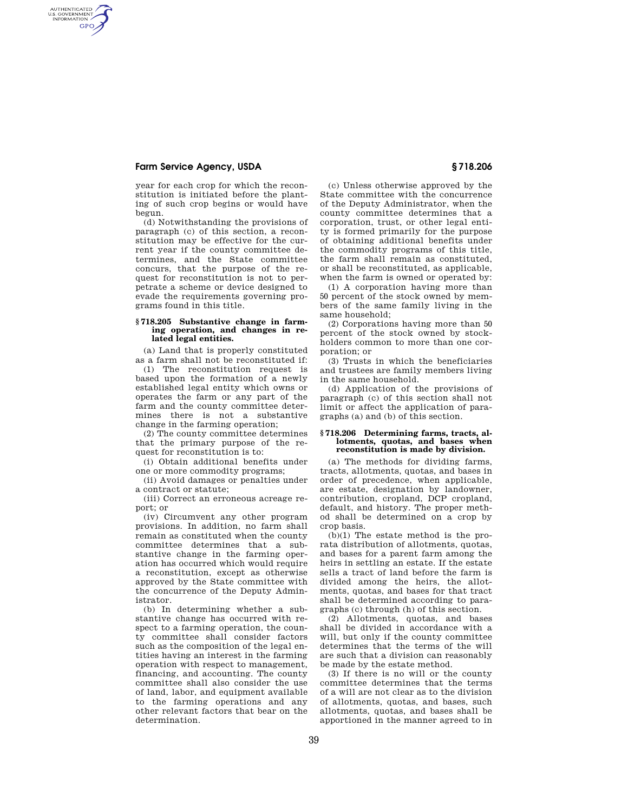### **Farm Service Agency, USDA § 718.206**

AUTHENTICATED<br>U.S. GOVERNMENT<br>INFORMATION **GPO** 

> year for each crop for which the reconstitution is initiated before the planting of such crop begins or would have begun.

> (d) Notwithstanding the provisions of paragraph (c) of this section, a reconstitution may be effective for the current year if the county committee determines, and the State committee concurs, that the purpose of the request for reconstitution is not to perpetrate a scheme or device designed to evade the requirements governing programs found in this title.

#### **§ 718.205 Substantive change in farming operation, and changes in related legal entities.**

(a) Land that is properly constituted as a farm shall not be reconstituted if:

(1) The reconstitution request is based upon the formation of a newly established legal entity which owns or operates the farm or any part of the farm and the county committee determines there is not a substantive change in the farming operation;

(2) The county committee determines that the primary purpose of the request for reconstitution is to:

(i) Obtain additional benefits under one or more commodity programs;

(ii) Avoid damages or penalties under a contract or statute;

(iii) Correct an erroneous acreage report; or

(iv) Circumvent any other program provisions. In addition, no farm shall remain as constituted when the county committee determines that a substantive change in the farming operation has occurred which would require a reconstitution, except as otherwise approved by the State committee with the concurrence of the Deputy Administrator.

(b) In determining whether a substantive change has occurred with respect to a farming operation, the county committee shall consider factors such as the composition of the legal entities having an interest in the farming operation with respect to management, financing, and accounting. The county committee shall also consider the use of land, labor, and equipment available to the farming operations and any other relevant factors that bear on the determination.

(c) Unless otherwise approved by the State committee with the concurrence of the Deputy Administrator, when the county committee determines that a corporation, trust, or other legal entity is formed primarily for the purpose of obtaining additional benefits under the commodity programs of this title, the farm shall remain as constituted, or shall be reconstituted, as applicable, when the farm is owned or operated by:

(1) A corporation having more than 50 percent of the stock owned by members of the same family living in the same household;

(2) Corporations having more than 50 percent of the stock owned by stockholders common to more than one corporation; or

(3) Trusts in which the beneficiaries and trustees are family members living in the same household.

(d) Application of the provisions of paragraph (c) of this section shall not limit or affect the application of paragraphs (a) and (b) of this section.

#### **§ 718.206 Determining farms, tracts, allotments, quotas, and bases when reconstitution is made by division.**

(a) The methods for dividing farms, tracts, allotments, quotas, and bases in order of precedence, when applicable, are estate, designation by landowner, contribution, cropland, DCP cropland, default, and history. The proper method shall be determined on a crop by crop basis.

(b)(1) The estate method is the prorata distribution of allotments, quotas, and bases for a parent farm among the heirs in settling an estate. If the estate sells a tract of land before the farm is divided among the heirs, the allotments, quotas, and bases for that tract shall be determined according to paragraphs (c) through (h) of this section.

(2) Allotments, quotas, and bases shall be divided in accordance with a will, but only if the county committee determines that the terms of the will are such that a division can reasonably be made by the estate method.

(3) If there is no will or the county committee determines that the terms of a will are not clear as to the division of allotments, quotas, and bases, such allotments, quotas, and bases shall be apportioned in the manner agreed to in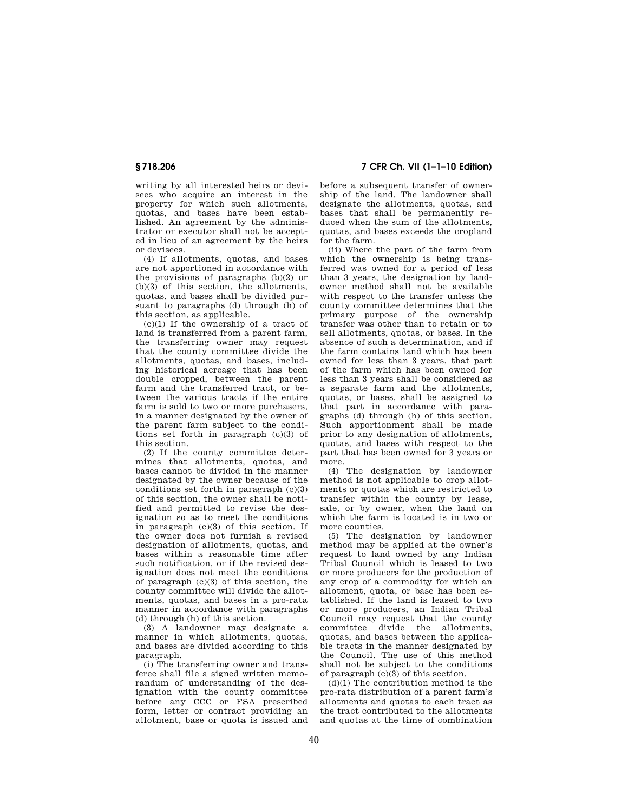writing by all interested heirs or devisees who acquire an interest in the property for which such allotments, quotas, and bases have been established. An agreement by the administrator or executor shall not be accepted in lieu of an agreement by the heirs or devisees.

(4) If allotments, quotas, and bases are not apportioned in accordance with the provisions of paragraphs (b)(2) or  $(b)(3)$  of this section, the allotments, quotas, and bases shall be divided pursuant to paragraphs (d) through (h) of this section, as applicable.

 $(c)(1)$  If the ownership of a tract of land is transferred from a parent farm, the transferring owner may request that the county committee divide the allotments, quotas, and bases, including historical acreage that has been double cropped, between the parent farm and the transferred tract, or between the various tracts if the entire farm is sold to two or more purchasers, in a manner designated by the owner of the parent farm subject to the conditions set forth in paragraph (c)(3) of this section.

(2) If the county committee determines that allotments, quotas, and bases cannot be divided in the manner designated by the owner because of the conditions set forth in paragraph (c)(3) of this section, the owner shall be notified and permitted to revise the designation so as to meet the conditions in paragraph (c)(3) of this section. If the owner does not furnish a revised designation of allotments, quotas, and bases within a reasonable time after such notification, or if the revised designation does not meet the conditions of paragraph (c)(3) of this section, the county committee will divide the allotments, quotas, and bases in a pro-rata manner in accordance with paragraphs (d) through (h) of this section.

(3) A landowner may designate a manner in which allotments, quotas, and bases are divided according to this paragraph.

(i) The transferring owner and transferee shall file a signed written memorandum of understanding of the designation with the county committee before any CCC or FSA prescribed form, letter or contract providing an allotment, base or quota is issued and

# **§ 718.206 7 CFR Ch. VII (1–1–10 Edition)**

before a subsequent transfer of ownership of the land. The landowner shall designate the allotments, quotas, and bases that shall be permanently reduced when the sum of the allotments, quotas, and bases exceeds the cropland for the farm.

(ii) Where the part of the farm from which the ownership is being transferred was owned for a period of less than 3 years, the designation by landowner method shall not be available with respect to the transfer unless the county committee determines that the primary purpose of the ownership transfer was other than to retain or to sell allotments, quotas, or bases. In the absence of such a determination, and if the farm contains land which has been owned for less than 3 years, that part of the farm which has been owned for less than 3 years shall be considered as a separate farm and the allotments, quotas, or bases, shall be assigned to that part in accordance with paragraphs (d) through (h) of this section. Such apportionment shall be made prior to any designation of allotments, quotas, and bases with respect to the part that has been owned for 3 years or more.

(4) The designation by landowner method is not applicable to crop allotments or quotas which are restricted to transfer within the county by lease, sale, or by owner, when the land on which the farm is located is in two or more counties.

(5) The designation by landowner method may be applied at the owner's request to land owned by any Indian Tribal Council which is leased to two or more producers for the production of any crop of a commodity for which an allotment, quota, or base has been established. If the land is leased to two or more producers, an Indian Tribal Council may request that the county committee divide the allotments, quotas, and bases between the applicable tracts in the manner designated by the Council. The use of this method shall not be subject to the conditions of paragraph (c)(3) of this section.

 $(d)(1)$  The contribution method is the pro-rata distribution of a parent farm's allotments and quotas to each tract as the tract contributed to the allotments and quotas at the time of combination